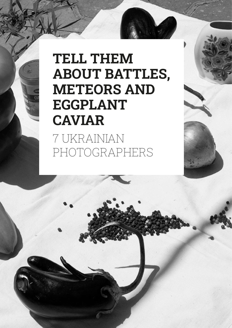# **TELL THEM ABOUT BATTLES, METEORS AND EGGPLANT CAVIAR**

7 UKRAINIAN PHOTOGRAPHERS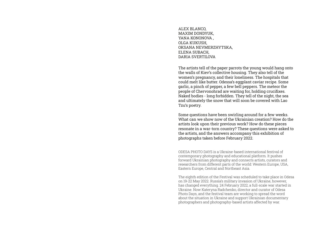ALEX BLANCO, MAXIM DONDYUK, YANA KONONOVA , OLGA KUKUSH, OKSANA NEVMERZHYTSKA, ELENA SUBACH, DARIA SVERTILOVA

The artists tell of the paper parrots the young would hang onto the walls of Kiev's collective housing. They also tell of the women's pregnancy, and their loneliness. The hospitals that could melt like butter. Odessa's eggplant caviar recipe. Some garlic, a pinch of pepper, a few bell peppers. The meteor the people of Chervonohrad are waiting for, holding crucifixes. Naked bodies - long forbidden. They tell of the night, the sea and ultimately the snow that will soon be covered with Lao Tzu's poetry.

Some questions have been swirling around for a few weeks. What can we show now of the Ukrainian creation? How do the artists look upon their previous work? How do these pieces resonate in a war-torn country? These questions were asked to the artists, and the answers accompany this exhibition of photographs taken before February 2022.

ODESA PHOTO DAYS is a Ukraine-based international festival of contemporary photography and educational platform. It pushes forward Ukrainian photography and connects artists, curators and researchers from different parts of the world: Western Europe, USA, Eastern Europe, Central and Northeast Asia.

The eighth edition of the Festival was scheduled to take place in Odesa on 19-22 May 2022. Russia's military invasion of Ukraine, however, has changed everything. 24 February 2022, a full-scale war started in Ukraine. Now Kateryna Radchenko, director and curator of Odesa Photo Days, and the festival team are working to spread the word about the situation in Ukraine and support Ukrainian documentary photographers and photography-based artists affected by war.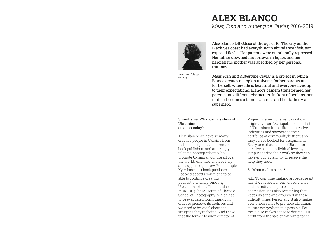# **ALEX BLANCO**

Meat, Fish and Aubergine Caviar, 2016-2019



Born in Odesa in 1988

Alex Blanco left Odesa at the age of 16. The city on the Black Sea coast had everything in abundance : fish, sun, exposed flesh... Her parents were emotionally repressed. Her father drowned his sorrows in liquor, and her narcissistic mother was absorbed by her personal traumas.

Meat, Fish and Aubergine Caviar is a project in which Blanco creates a utopian universe for her parents and for herself, where life is beautiful and everyone lives up to their expectations. Blanco's camera transformed her parents into different characters. In front of her lens, her mother becomes a famous actress and her father – a superhero.

#### Stimultania: What can we show of Ukrainian creation today?

Alex Blanco: We have so many creative people in Ukraine from fashion designers and filmmakers to book publishers and amazingly talented photographers who promote Ukrainian culture all over the world. And they all need help and support right now. For example, Kyiv-based art book publisher Rodovid accepts donations to be able to continue creating publications and promoting Ukrainian artists. There is also MOKSOP (The Museum of Kharkiv School of Photography) which had to be evacuated from Kharkiv in order to preserve its archives and we need to be vocal about the struggles they're facing. And I saw that the former fashion director of

Vogue Ukraine, Julie Pelipas who is originally from Mariupol, created a list of Ukrainians from different creative industries and showcased their portfolios at community.bettter.us so they can be booked for assignments. Every one of us can help Ukrainian creatives on an individual level by simply sharing their work so they can have enough visibility to receive the help they need.

### S.: What makes sense?

A.B.: To continue making art because art has always been a form of resistance and an individual protest against aggression. It is also something that keeps us sane and grounded in these difficult times. Personally, it also makes even more sense to promote Ukrainian culture everywhere it is possible. For me, it also makes sense to donate 100% profit from the sale of my prints to the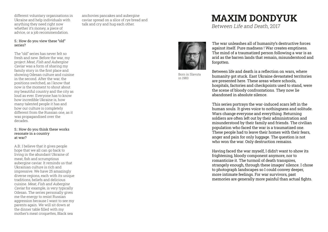different voluntary organisations in Ukraine and help individuals with anything they need right now whether it's money, a piece of advice, or a job recommendation.

### S.: How do you view these "old" series?

The "old" series has never felt so fresh and new. Before the war, my project Meat, Fish and Aubergine Caviar was a form of sharing my family story in the first place and showing Odesan culture and cuisine in the second. After the war, the positions switched, as I know that now is the moment to shout about my beautiful country and the city as loud as ever. Everyone has to know how incredible Ukraine is, how many talented people it has and how our culture is completely different from the Russian one, as it was propagandised over the decades.

#### S.: How do you think these works resonate in a country at war?

A.B.: I believe that it gives people hope that we all can go back to living in the abundant Ukraine of meat, fish and scrumptious aubergine caviar. It reminds us that Ukrainian culture is rich and impressive. We have 25 amazingly diverse regions, each with its unique traditions, beliefs and delicious cuisine. Meat, Fish and Aubergine Caviar for example, is very typically Odesan. The series personally gives me the energy to resist Russian aggression because I want to see my parents again. We will sit down at the dinner table filled with my mother's meat croquettes, Black sea

anchovies pancakes and aubergine caviar spread on a slice of rye bread and talk and cry and hug each other.

# **MAXIM DONDYUK**

Between Life and Death, 2017



Born in Slavuta in 1983

The war unleashes all of humanity's destructive forces against itself. Pure madness ! War creates emptiness. The mind of a traumatized person following a war is as arid as the barren lands that remain, misunderstood and forgotten.

Between life and death is a reflection on wars, where humanity got stuck. East Ukraine devastated territories are presented here. These areas where schools, hospitals, factories and checkpoints used to stand, were the scene of bloody confrontations. They now lie abandoned in absolute silence.

This series portrays the war-induced scars left in the human souls. It gives voice to nothingness and solitude. Wars change everyone and everything. Returning soldiers are often left out by their administration and misunderstood by their family and friends. The civilian population who faced the war is a traumatized one. These people had to leave their homes with their fears, anger and pain for only luggage. The question is not who won the war. Only destruction remains.

Having faced the war myself, I didn't want to show its frightening, bloody component anymore, nor to romanticize it. The turmoil of death transpires, strangely enough, through these images' silence. I chose to photograph landscapes so I could convey deeper, more intimate feelings. For war survivors, past memories are generally more painful than actual fights.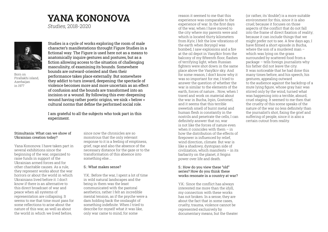# **YANA KONONOVA**

Studies, 2018-2020



Born on Pirallakhi island, Azerbaijan in 1977

Studies is a cycle of works exploring the room of male character's manifestations throught Figure Studies in a fictional way. The Figure is used here not as a means to anatomically inquire gestures and postures, but as a fiction allowing access to the situation of challenging masculinity, of examining its bounds. Somewhere bounds are outward-oriented and then their performance takes place externally. But somewhere they addict to turn inward, deepening: the spectacle of violence becomes more and more uncertain as an effect of confusion and the bounds are transformed into an incision or a wound. By following this ever-deepening wound having rather poetic origins, we sink « below » cultural norms that define the performed social role.

I am grateful to all the subjects who took part in this experiment.

# Stimultania: What can we show of Ukrainian creation today?

Yana Kononova: I have taken part in several exhibitions since the beginning of the war, organized to raise funds in support of the Ukrainian armed forces and for other charitable causes. As a rule, they represent works about the war horrors or about the world in which Ukrainians lived before it. I don't know if there is an alternative to this direct broadcast of war and peace when all systems of representation are collapsing. It seems to me that time must pass for some reflections to arise about the nature of this war, as well as about the world in which we lived before,

since now the chronicles are so monstrous that the only relevant response to it is a feeling of emptiness, grief, rage and also the absence of the necessary distance for the gaze or to the transformation of this absence into something else....

## S.: What makes sense?

Y.K.: Before the war, I spent a lot of time in wild natural landscapes and the being in them was the least communicated with the pastoral aesthetics, rather I felt an incredible mental tension, as if the psyche were a dam holding back the onslaught of something indefinite. When I tried to describe for myself what it was like, only war came to mind, for some

reason it seemed to me that this experience was comparable to the experience of war. In the first days of the war, when I have moved to the city where my parents were and which is located thirty kilometers from Kyiv, I felt the low vibrations of the earth when Boryspil was bombed, I saw explosions and a fire at the oil depot in Vasylkiv from the balcony of my fifteenth floor, flashes of terrifying light, when Russian fighters were shot down in the same place above the Vasylkiv sky. And for some reason, I don't know why it was so important for me, I tried to answer the question of whether the war is similar to the elements of the earth, forces of nature... Now, when I travel and work on material about the war in Bucha, Irpin, Gostomel, and it seems that this terrible sweetish smell of burnt metal and human flesh is constantly in the nostrils and penetrate the cells, I can definitely answer that no, war is not like the forces of nature even when it coincides with them – in how the distribution of the effects of firepower is influenced by relief, wind direction, climate. But war is like a shadowy, dystopian side of civilization, which manifests – in its barbarity on the planet, it feigns power over life and death.

### S.: How do you view these "old" series? How do you think these works resonate in a country at war?

Y.K.: Since the conflict has always interested me more than the idyll, my connection with these works has not broken. In a sense, they are about the fact that in some cases, cruelty, trauma, violence cannot be represented exclusively by documentary means, but the theater (or rather, its 'double') is a more suitable environment for this, since it is also cruel; because it focuses on those aspects of the conflict that do not fall into the frame of direct fixation of reality; because it can include things that we might prefer not to see. A few days ago, I have filmed a short episode in Bucha, where the son of a murdered man – which was lying on the grass surrounded by scattered food from a package – tells foreign journalists why his father did not leave the city. It was noticeable that he had done this many times before, and his speech, his gestures, appealing outward to the audience against the backdrop of a mute lying figure, whose gray hair was stirred only by the wind, turned what was happening into a terrible, absurd, cruel staging. It seemed to me then that the cruelty of this scene speaks of the nature of the war no less definitely than the journalist's shot, fixing the grief and suffering of people, since it is also a certain cutout from reality.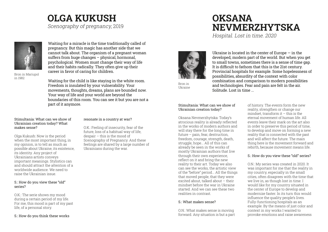# **OLGA KUKUSH** Scenography of pregnancy, 2019

Waiting for a miracle is the time traditionally called of pregnancy. But this magic has another side that we cannot talk about. The organism of a pregnant woman suffers from huge changes – physical, hormonal, psychological. Women must change their way of life and their habits radically. They often give up their career in favor of caring for children.

Bron in Mariupol in 1982

Waiting for the child is like staying in the white room. Freedom is insulated by your vulnerability. Your movements, thoughts, dreams, plans are bounded now. Your way of life and your world are beyond the boundaries of this room. You can see it but you are not a part of it anymore.

## Stimultania: What can we show of Ukrainian creation today? What makes sense?

Olga Kukush: Now is the period when the most important thing, in my opinion, is to tell as much as possible about Ukraine, its existence, its identity. Any project of Ukrainians artists conveys important meanings. Stylistics can and should attract the attention of a worldwide audience. We need to raise the Ukrainian issue.

## S.: How do you view these "old" series?

O.K.: The serie shows my mood during a certain period of my life. For me, this mood is part of my past life, of a personal story.

S.: How do you think these works

# resonate in a country at war?

O.K.: Feeling of insecurity, fear of the future, loss of a habitual way of life, despair – this is the mood of Scenography of Pregnancy. And these feelings are shared by a large number of Ukrainians during the war.

# **OKSANA NEVMERZHYTSKA**

Hospital. Lost in time. 2020



Ukraine is located in the center of Europe  $-$  in the developed, modern part of the world. But when you get to small towns, sometimes there is a sense of time gap. It is difficult to fathom that this is the 21st century. Provincial hospitals for example. Some hopelessness of possibilities, absurdity of the context with color combination and comparison to modern possibilities and technologies. Fear and pain are felt in the air. Solitude. Lost in time ...

Bron in Ukraine

# Stimultania: What can we show of Ukrainian creation today?

Oksana Nevmerzhytska: Today's atrocious reality is already reflected in the works of modern authors and will stay there for the long time in future – pain, fear, destruction, freedom, courage, strength, death, struggle, hope... All of this can already be seen in the works of mostly Ukrainian authors that live through their own experience, reflect on it and bring the new reality to their art. Today we also can see the works, the artistic view of the "before" period... All the things that moved people, that they were excited about, talked about – their mindset before the war in Ukraine started. And we can see these two realities in contrast.

# S.: What makes sense?

O.N.: What makes sense is moving forward. Any situation is but a part of history. The events form the new reality, strengthen or change our mindset, transform it – this is the eternal movement of human life. All events leave their mark on the art also in order to preserve this period of time, to develop and move on forming a new reality that is connected with the past and will affect the future. The main thing here is the movement forward and rebirth, because movement means life.

# S.: How do you view these "old" series?

O.N.: My series was created in 2020. It was important for me that the reality in my country, especially in the small cities, often disagrees with the time that we live in, as though lost in time. I would like for my country situated in the center of Europe to develop and modernize faster. In its turn this would influence the quality people's lives. Fully-functioning hospitals as an example. By the means of just color and context in my works I wanted to provoke emotions and raise awareness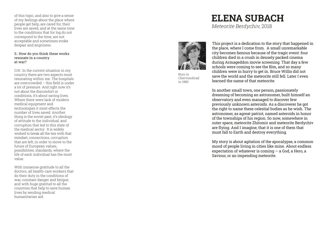of this topic, and also to give a sense of my feelings about the place where people get help, are cared for, their lives are saved, and at the same time to the conditions that for log do not correspond to the time, are not acceptable and sometimes evoke despair and angriness.

#### S.: How do you think these works resonate in a country at war?

O.N.: In the current situation in my country there are two aspects most resonating within me. The hospitals are overcrowded – this field is under a lot of pressure. And right now it's not about the discomfort or conditions, it's about saving lives. Where there were lack of modern medical equipment and technologies it most effects the number of lives saved. Another thing is the soviet past, it's ideology of attitude to the individual, and corruption that led to this state of the medical sector. It is widely wished to break all the ties with that mindset, connections, corruption that are left, in order to move to the future of European values, possibilities, standards, where the life of each individual has the most value.

With immense gratitude to all the doctors, all health-care workers that do their duty in the conditions of war, constant danger and fatigue; and with huge gratitud to all the countries that help to save human lives by sending medical humanitarian aid.

# **ELENA SUBACH**

Meteorite Berdychiv, 2018



Born in Chervonohrad in 1980

This project is a dedication to the story that happened in the place, where I come from. A small unremarkable city becomes famous because of the tragic event: four children died in a crush in densely packed cinema during Armageddon movie screening. That day a few schools were coming to see the film, and so many children were in hurry to get in. Bruce Willis did not save the world and the meteorite still fell. Later I even learned the name of that meteorite.

In another small town, one person, passionately dreaming of becoming an astronomer, built himself an observatory and even managed to discover few previously unknown asteroids. As a discoverer he got the right to name these celestial bodies as he wish. The astronomer, as agreat patriot, named asteroids in honor of the townships of his region. So now, somewhere in outer space, meteorite Zhitomir and meteorite Berdychiv are flying. And I imagine, that it is one of them that must fall to Earth and destroy everything.

My story is about agitation of the apocalypse, a common mood of people living in cities like mine. About endless expectation of whatever is coming — a God, a Hero, a Saviour, or an impending meteorite.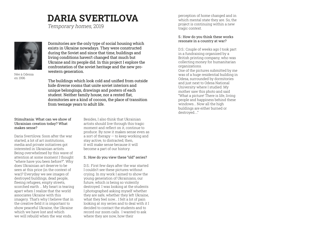# **DARIA SVERTILOVA**

Temporary homes, 2019



Née à Odessa en 1996

Dormitories are the only type of social housing which exists in Ukraine nowadays. They were constructed during the Soviet and since that time, buildings and living conditions haven't changed that much but Ukraine and its people did. In this project I explore the confrontation of the soviet heritage and the new prowestern generation.

The buildings which look cold and unified from outside hide diverse rooms that unite soviet interiors and unique belongings, drawings and posters of each student. Neither family house, nor a rented flat, dormitories are a kind of cocoon, the place of transition from teenage years to adult life.

# Stimultania: What can we show of Ukrainian creation today? What makes sense?

Daria Svertilova: Soon after the war started, a lot of art institutions, media and private initiatives got interested in Ukrainian artists. Being overwhelmed by this wave of attention at some moment I thought "where have you been before?". Why does Ukrainian art deserve to be seen at this price (in the context of war)? Everyday we see images of destroyed buildings, dead people, fleeing refugees, empty streets. scorched earth ... My heart is tearing apart when I realize that the world associates Ukraine with this imagery. That's why I believe that in the creative field it is important to show peaceful Ukraine, the Ukraine which we have lost and which we will rebuild when the war ends.

Besides, I also think that Ukrainian artists should live through this tragic moment and reflect on it, continue to produce. By now it makes sense even as  $a$  sort of therapy  $-$  to keep working and stay active, to distracted; then, it will make sense because it will become a part of our history.

## S.: How do you view these "old" series?

D.S.: First few days after the war started I couldn't see these pictures without crying. In my work I aimed to show the young generation of Ukrainians, our future, which is being so violently destroyed. I was looking at the students I photographed asking myself whether they are safe, whether they left Ukraine, what they feel now... I felt a lot of pain looking at my series and to deal with it I decided to contact the students and to record our zoom calls. I wanted to ask where they are now, how their

perception of home changed and in which mental state they are. So, the project is continuing within a new tragic context.

## S.: How do you think these works resonate in a country at war?

D.S.: Couple of weeks ago I took part in a fundraising organized by a British printing company, who was collecting money for humanitarian organizations. One of the pictures submitted by me was of a huge residential building in Odesa, surrounded by dormitories and just next to Odesa National University where I studied. My mother saw this photo and said "What a picture! There is life, living people and happiness behind these windows... Now all the high buildings are either burned or destroyed...."